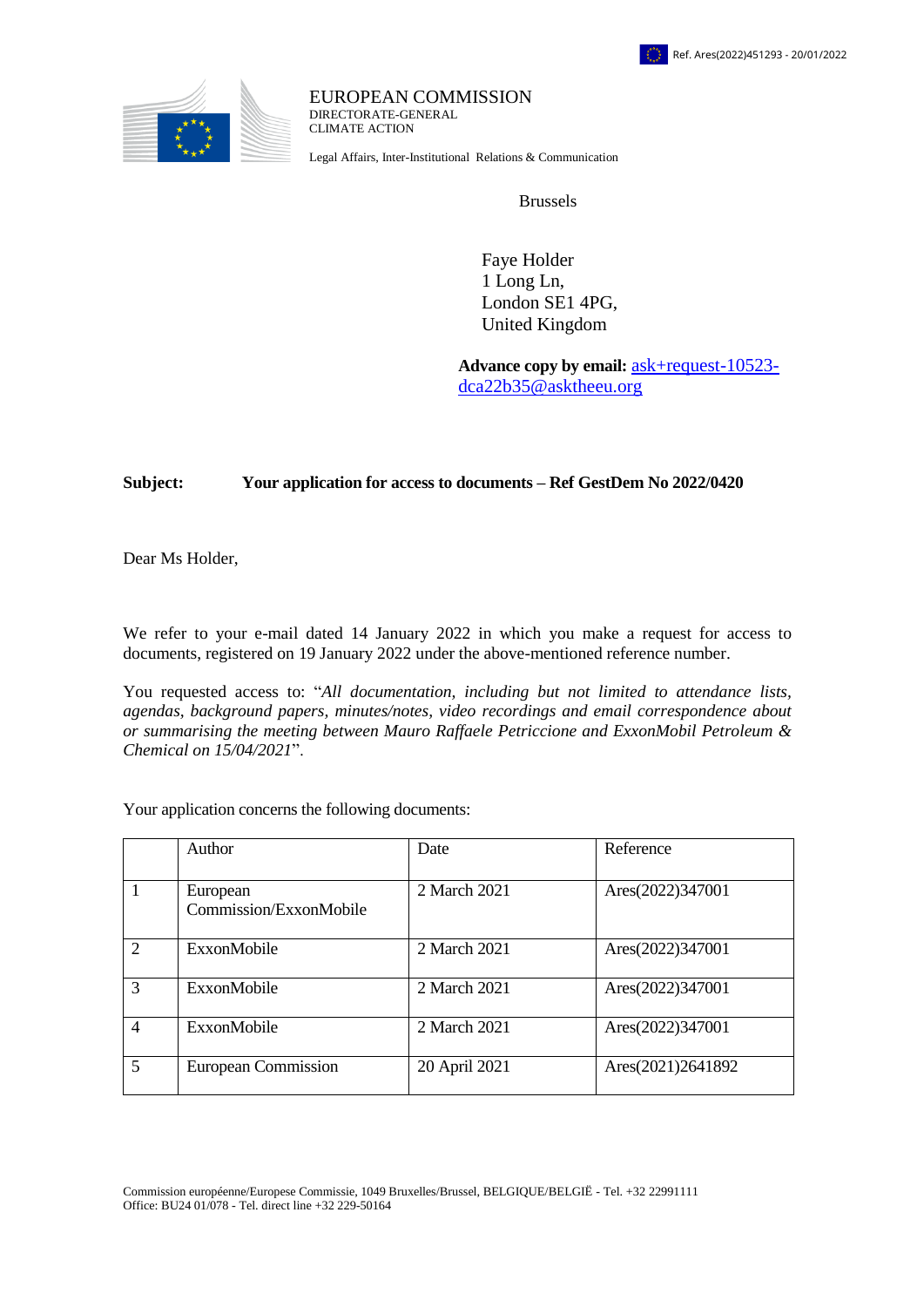

EUROPEAN COMMISSION DIRECTORATE-GENERAL CLIMATE ACTION

Legal Affairs, Inter-Institutional Relations & Communication

Brussels

 Faye Holder 1 Long Ln, London SE1 4PG, United Kingdom

**Advance copy by email:** [ask+request-10523](mailto:xxxxxxxxxxxxxxxxxxxxxxxxxx@xxxxxxxx.xxx) [dca22b35@asktheeu.org](mailto:xxxxxxxxxxxxxxxxxxxxxxxxxx@xxxxxxxx.xxx)

## **Subject: Your application for access to documents – Ref GestDem No 2022/0420**

Dear Ms Holder,

We refer to your e-mail dated 14 January 2022 in which you make a request for access to documents, registered on 19 January 2022 under the above-mentioned reference number.

You requested access to: "*All documentation, including but not limited to attendance lists, agendas, background papers, minutes/notes, video recordings and email correspondence about or summarising the meeting between Mauro Raffaele Petriccione and ExxonMobil Petroleum & Chemical on 15/04/2021*".

Your application concerns the following documents:

|                             | Author                             | Date          | Reference         |
|-----------------------------|------------------------------------|---------------|-------------------|
|                             | European<br>Commission/ExxonMobile | 2 March 2021  | Ares(2022)347001  |
| $\mathcal{D}_{\mathcal{L}}$ | ExxonMobile                        | 2 March 2021  | Ares(2022)347001  |
| $\mathcal{R}$               | ExxonMobile                        | 2 March 2021  | Ares(2022)347001  |
| $\overline{4}$              | ExxonMobile                        | 2 March 2021  | Ares(2022)347001  |
| $\overline{5}$              | <b>European Commission</b>         | 20 April 2021 | Ares(2021)2641892 |